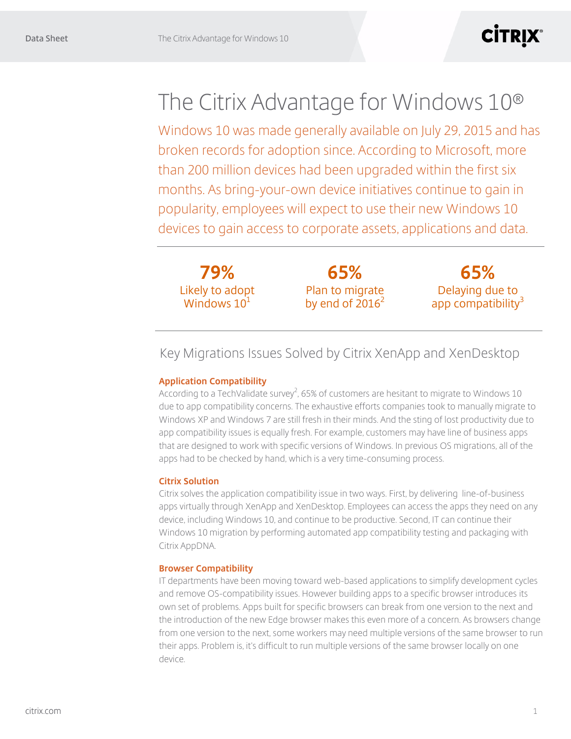# **CİTRIX®**

# The Citrix Advantage for Windows 10®

Windows 10 was made generally available on July 29, 2015 and has broken records for adoption since. According to Microsoft, more than 200 million devices had been upgraded within the first six months. As bring-your-own device initiatives continue to gain in popularity, employees will expect to use their new Windows 10 devices to gain access to corporate assets, applications and data.

**79%** Likely to adopt Windows  $10<sup>1</sup>$ 

**65%** Plan to migrate by end of  $2016^2$ 

**65%** Delaying due to app compatibility<sup>3</sup>

## Key Migrations Issues Solved by Citrix XenApp and XenDesktop

### **Application Compatibility**

According to a TechValidate survey<sup>2</sup>, 65% of customers are hesitant to migrate to Windows 10 due to app compatibility concerns. The exhaustive efforts companies took to manually migrate to Windows XP and Windows 7 are still fresh in their minds. And the sting of lost productivity due to app compatibility issues is equally fresh. For example, customers may have line of business apps that are designed to work with specific versions of Windows. In previous OS migrations, all of the apps had to be checked by hand, which is a very time-consuming process.

#### **Citrix Solution**

Citrix solves the application compatibility issue in two ways. First, by delivering line-of-business apps virtually through XenApp and XenDesktop. Employees can access the apps they need on any device, including Windows 10, and continue to be productive. Second, IT can continue their Windows 10 migration by performing automated app compatibility testing and packaging with Citrix AppDNA.

#### **Browser Compatibility**

IT departments have been moving toward web-based applications to simplify development cycles and remove OS-compatibility issues. However building apps to a specific browser introduces its own set of problems. Apps built for specific browsers can break from one version to the next and the introduction of the new Edge browser makes this even more of a concern. As browsers change from one version to the next, some workers may need multiple versions of the same browser to run their apps. Problem is, it's difficult to run multiple versions of the same browser locally on one device.